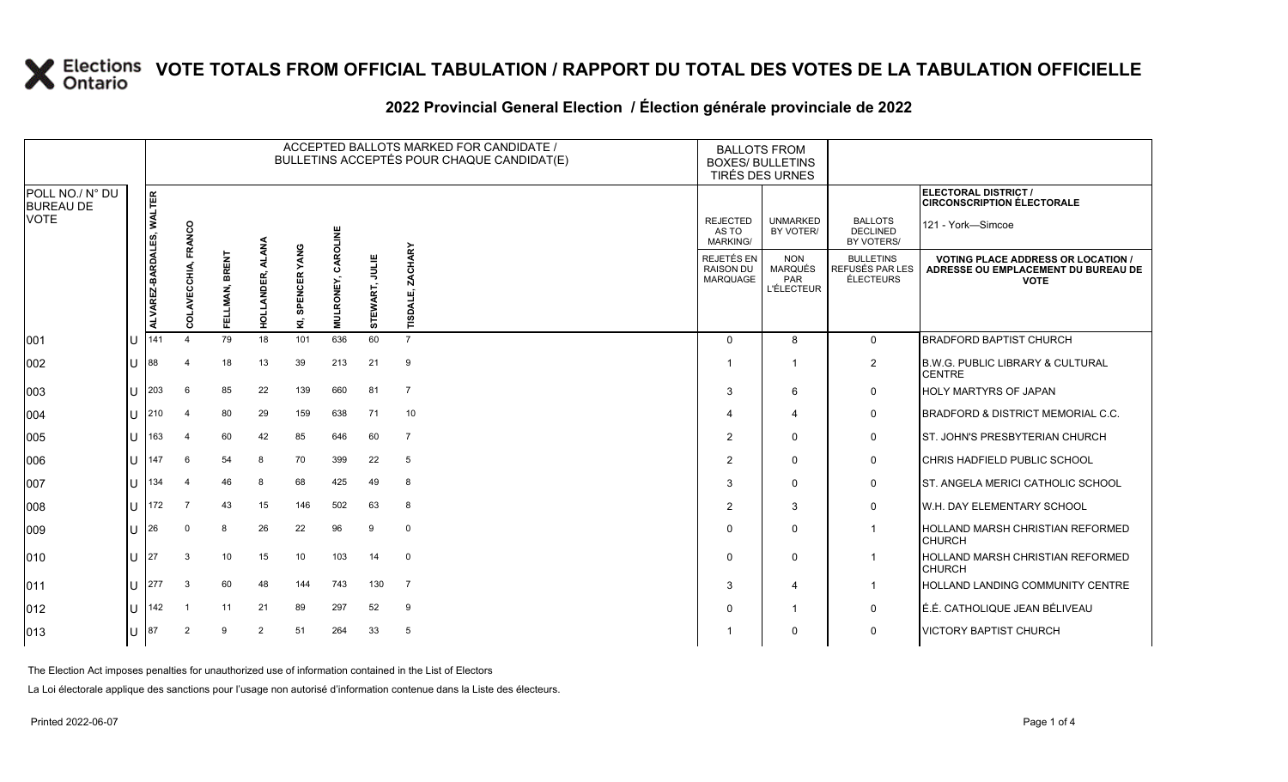### **VOTE TOTALS FROM OFFICIAL TABULATION / RAPPORT DU TOTAL DES VOTES DE LA TABULATION OFFICIELLE**

|                                             |    | ACCEPTED BALLOTS MARKED FOR CANDIDATE /<br>BULLETINS ACCEPTÉS POUR CHAQUE CANDIDAT(E) |                            |                          |                |                    |           |                |                        | <b>BALLOTS FROM</b><br><b>BOXES/ BULLETINS</b><br>TIRÉS DES URNES |                                                                 |                                                         |                                                                                                 |
|---------------------------------------------|----|---------------------------------------------------------------------------------------|----------------------------|--------------------------|----------------|--------------------|-----------|----------------|------------------------|-------------------------------------------------------------------|-----------------------------------------------------------------|---------------------------------------------------------|-------------------------------------------------------------------------------------------------|
| POLL NO./ N° DU<br><b>BUREAU DE</b><br>VOTE |    | <b>WALTER</b>                                                                         |                            |                          |                |                    |           |                |                        |                                                                   |                                                                 |                                                         | ELECTORAL DISTRICT /<br><b>CIRCONSCRIPTION ÉLECTORALE</b>                                       |
|                                             |    |                                                                                       | FRANCO                     |                          |                |                    | CAROLINE  |                |                        | <b>REJECTED</b><br>AS TO<br><b>MARKING/</b>                       | <b>UNMARKED</b><br>BY VOTER/                                    | <b>BALLOTS</b><br><b>DECLINED</b><br>BY VOTERS/         | 121 - York-Simcoe                                                                               |
|                                             |    | ALVAREZ-BARDALES,                                                                     | 동<br>ō<br>$\tilde{\Omega}$ | <b>BRENT</b><br>FELLMAN, | HOLLANDER,     | SPENCER YANG<br>Σ, | MULRONEY, | STEWART, JULIE | CHARY<br><b>TISDAL</b> | REJETÉS EN<br><b>RAISON DU</b><br>MARQUAGE                        | <b>NON</b><br><b>MARQUÉS</b><br><b>PAR</b><br><b>L'ÉLECTEUR</b> | <b>BULLETINS</b><br>REFUSÉS PAR LES<br><b>ÉLECTEURS</b> | <b>VOTING PLACE ADDRESS OR LOCATION /</b><br>ADRESSE OU EMPLACEMENT DU BUREAU DE<br><b>VOTE</b> |
| 001                                         | IU | 141                                                                                   | $\Delta$                   | 79                       | 18             | 101                | 636       | 60             | $\overline{7}$         | $\Omega$                                                          | 8                                                               | $\mathbf 0$                                             | <b>BRADFORD BAPTIST CHURCH</b>                                                                  |
| 002                                         | IU | 188                                                                                   | 4                          | 18                       | 13             | 39                 | 213       | 21             | 9                      |                                                                   | -1                                                              | $\overline{2}$                                          | <b>B.W.G. PUBLIC LIBRARY &amp; CULTURAL</b><br><b>CENTRE</b>                                    |
| 003                                         | ПT | 203                                                                                   | 6                          | 85                       | 22             | 139                | 660       | 81             | $\overline{7}$         | 3                                                                 | 6                                                               | 0                                                       | <b>HOLY MARTYRS OF JAPAN</b>                                                                    |
| 004                                         | IU | 210                                                                                   | $\overline{4}$             | 80                       | 29             | 159                | 638       | 71             | 10                     |                                                                   | $\overline{4}$                                                  | 0                                                       | <b>BRADFORD &amp; DISTRICT MEMORIAL C.C.</b>                                                    |
| 005                                         | lu | 163                                                                                   | $\overline{4}$             | 60                       | 42             | 85                 | 646       | 60             | $\overline{7}$         | $\mathcal{P}$                                                     | $\Omega$                                                        | 0                                                       | IST. JOHN'S PRESBYTERIAN CHURCH                                                                 |
| 006                                         | IU | 147                                                                                   | 6                          | 54                       | 8              | 70                 | 399       | 22             | 5                      | 2                                                                 | $\Omega$                                                        | 0                                                       | CHRIS HADFIELD PUBLIC SCHOOL                                                                    |
| 007                                         | IU | 134                                                                                   | $\overline{4}$             | 46                       | 8              | 68                 | 425       | 49             | 8                      | 3                                                                 | $\Omega$                                                        | 0                                                       | ST. ANGELA MERICI CATHOLIC SCHOOL                                                               |
| 008                                         | lU | 172                                                                                   | 7                          | 43                       | 15             | 146                | 502       | 63             | 8                      | $\overline{2}$                                                    | 3                                                               | 0                                                       | <b>W.H. DAY ELEMENTARY SCHOOL</b>                                                               |
| 009                                         | IU | I 26                                                                                  | $\Omega$                   | 8                        | 26             | 22                 | 96        | 9              | $\mathbf 0$            | $\Omega$                                                          | $\mathbf 0$                                                     | $\overline{1}$                                          | <b>HOLLAND MARSH CHRISTIAN REFORMED</b><br><b>CHURCH</b>                                        |
| 010                                         | IU | 27                                                                                    | 3                          | 10                       | 15             | 10                 | 103       | 14             | $\mathbf 0$            | $\Omega$                                                          | $\Omega$                                                        | $\mathbf 1$                                             | <b>HOLLAND MARSH CHRISTIAN REFORMED</b><br><b>CHURCH</b>                                        |
| 011                                         | IU | 277                                                                                   | 3                          | 60                       | 48             | 144                | 743       | 130            | $\overline{7}$         | 3                                                                 | $\overline{4}$                                                  | $\overline{1}$                                          | <b>HOLLAND LANDING COMMUNITY CENTRE</b>                                                         |
| 012                                         | lu | 142                                                                                   | -1                         | 11                       | 21             | 89                 | 297       | 52             | 9                      | $\Omega$                                                          | $\overline{1}$                                                  | 0                                                       | É.É. CATHOLIQUE JEAN BÉLIVEAU                                                                   |
| 013                                         | ΙU | 87                                                                                    | $\overline{2}$             | 9                        | $\overline{2}$ | 51                 | 264       | 33             | 5                      |                                                                   | $\Omega$                                                        | 0                                                       | <b>VICTORY BAPTIST CHURCH</b>                                                                   |

#### 2022 Provincial General Election / Election générale provinciale de 2022

The Election Act imposes penalties for unauthorized use of information contained in the List of Electors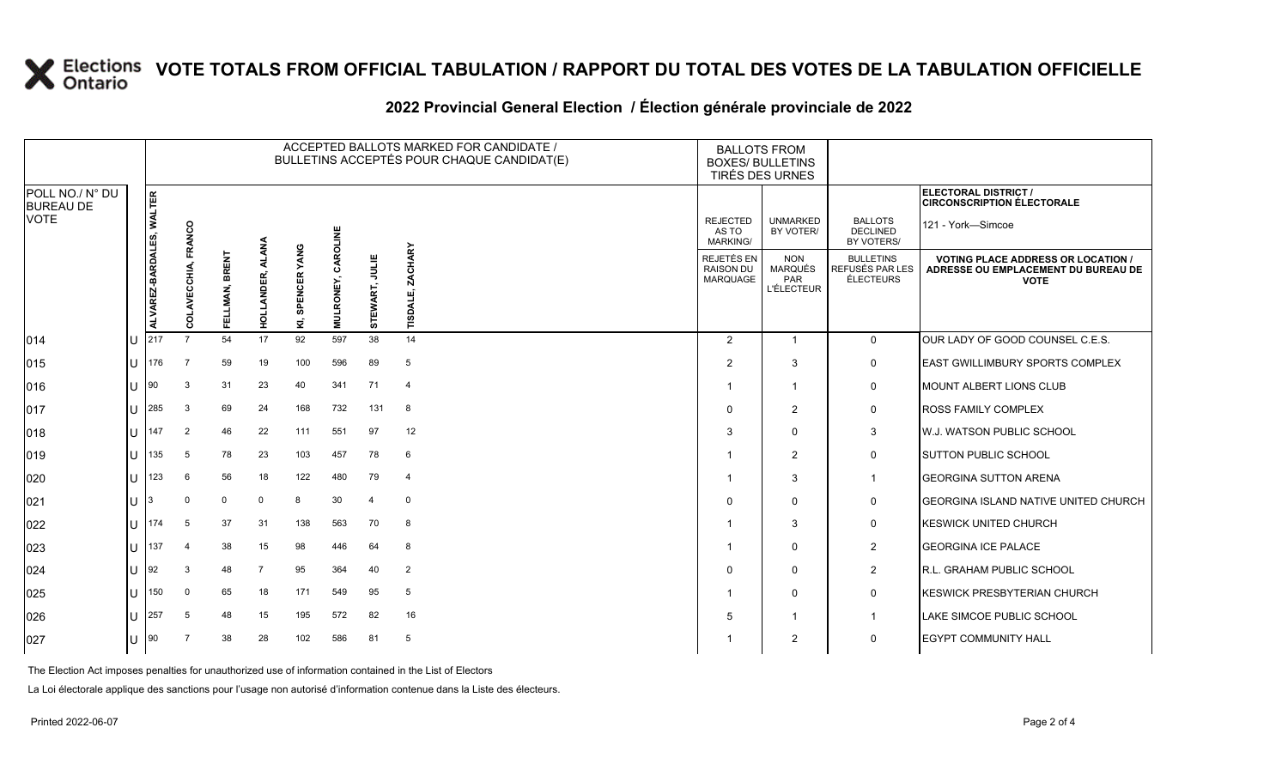# **X** Elections VOTE TOTALS FROM OFFICIAL TABULATION / RAPPORT DU TOTAL DES VOTES DE LA TABULATION OFFICIELLE

|                                     |     |                          |                |                          |                 |                    |           |                | ACCEPTED BALLOTS MARKED FOR CANDIDATE /<br>BULLETINS ACCEPTÉS POUR CHAQUE CANDIDAT(E) | <b>BOXES/ BULLETINS</b>                           | <b>BALLOTS FROM</b><br>TIRÉS DES URNES                   |                                                         |                                                                                                 |
|-------------------------------------|-----|--------------------------|----------------|--------------------------|-----------------|--------------------|-----------|----------------|---------------------------------------------------------------------------------------|---------------------------------------------------|----------------------------------------------------------|---------------------------------------------------------|-------------------------------------------------------------------------------------------------|
| POLL NO./ N° DU<br><b>BUREAU DE</b> |     |                          |                |                          |                 |                    |           |                |                                                                                       |                                                   |                                                          |                                                         | ELECTORAL DISTRICT /<br><b>CIRCONSCRIPTION ÉLECTORALE</b>                                       |
| <b>VOTE</b>                         |     |                          | FRANCO         |                          | ट्ट्            |                    | CAROLINE  |                |                                                                                       | <b>REJECTED</b><br>AS TO<br><b>MARKING/</b>       | <b>UNMARKED</b><br>BY VOTER/                             | <b>BALLOTS</b><br><b>DECLINED</b><br>BY VOTERS/         | 121 - York-Simcoe                                                                               |
|                                     |     | ALVAREZ-BARDALES, WALTER | 통<br>មួ<br>g   | <b>BRENT</b><br>FELLMAN, | ₹<br>HOLLANDER, | SPENCER YANG<br>Σ, | MULRONEY, | STEWART, JULIE | <b>ZACHARY</b><br><b>TISDALI</b>                                                      | REJETÉS EN<br><b>RAISON DU</b><br><b>MARQUAGE</b> | <b>NON</b><br><b>MARQUÉS</b><br>PAR<br><b>L'ÉLECTEUR</b> | <b>BULLETINS</b><br>REFUSÉS PAR LES<br><b>ÉLECTEURS</b> | <b>VOTING PLACE ADDRESS OR LOCATION /</b><br>ADRESSE OU EMPLACEMENT DU BUREAU DE<br><b>VOTE</b> |
| 014                                 |     | 217                      | $\overline{7}$ | 54                       | 17              | 92                 | 597       | 38             | 14                                                                                    | $\overline{2}$                                    | 1                                                        | $\mathbf 0$                                             | OUR LADY OF GOOD COUNSEL C.E.S.                                                                 |
| 015                                 | IU. | 176                      | 7              | 59                       | 19              | 100                | 596       | 89             | 5                                                                                     | 2                                                 | 3                                                        | 0                                                       | <b>EAST GWILLIMBURY SPORTS COMPLEX</b>                                                          |
| 016                                 | IП  | 190                      | 3              | 31                       | 23              | 40                 | 341       | 71             | $\overline{4}$                                                                        | -1                                                |                                                          | 0                                                       | <b>MOUNT ALBERT LIONS CLUB</b>                                                                  |
| 017                                 | ПT  | 285                      | 3              | 69                       | 24              | 168                | 732       | 131            | 8                                                                                     | $\Omega$                                          | $\overline{2}$                                           | 0                                                       | <b>ROSS FAMILY COMPLEX</b>                                                                      |
| 018                                 | Ш   | 147                      | $\overline{2}$ | 46                       | 22              | 111                | 551       | 97             | 12                                                                                    | 3                                                 | 0                                                        | 3                                                       | <b>W.J. WATSON PUBLIC SCHOOL</b>                                                                |
| 019                                 | ΙU  | 135                      | 5              | 78                       | 23              | 103                | 457       | 78             | 6                                                                                     | -1                                                | $\overline{2}$                                           | 0                                                       | <b>SUTTON PUBLIC SCHOOL</b>                                                                     |
| 020                                 | ПT  | 123                      | 6              | 56                       | 18              | 122                | 480       | 79             | $\overline{4}$                                                                        | -1                                                | 3                                                        | $\overline{1}$                                          | <b>GEORGINA SUTTON ARENA</b>                                                                    |
| 021                                 | IU  |                          | $\mathbf 0$    | $\mathbf{0}$             | $\Omega$        | 8                  | 30        | $\overline{4}$ | $\mathbf 0$                                                                           | $\Omega$                                          | 0                                                        | 0                                                       | <b>GEORGINA ISLAND NATIVE UNITED CHURCH</b>                                                     |
| 022                                 | IU. | 174                      | 5              | 37                       | 31              | 138                | 563       | 70             | 8                                                                                     | -1                                                | 3                                                        | 0                                                       | <b>KESWICK UNITED CHURCH</b>                                                                    |
| 023                                 | ПT  | 137                      | $\overline{4}$ | 38                       | 15              | 98                 | 446       | 64             | 8                                                                                     |                                                   | $\mathbf{0}$                                             | $\overline{2}$                                          | <b>GEORGINA ICE PALACE</b>                                                                      |
| 024                                 | IU  | 92                       | 3              | 48                       | $\overline{7}$  | 95                 | 364       | 40             | 2                                                                                     | $\Omega$                                          | 0                                                        | 2                                                       | <b>IR.L. GRAHAM PUBLIC SCHOOL</b>                                                               |
| 025                                 | Ш   | 150                      | $\mathbf 0$    | 65                       | 18              | 171                | 549       | 95             | 5                                                                                     | -1                                                | 0                                                        | 0                                                       | <b>KESWICK PRESBYTERIAN CHURCH</b>                                                              |
| 026                                 |     | 257                      | 5              | 48                       | 15              | 195                | 572       | 82             | 16                                                                                    | 5                                                 |                                                          | $\overline{1}$                                          | <b>LAKE SIMCOE PUBLIC SCHOOL</b>                                                                |
| 027                                 | IU  | $\sqrt{90}$              | 7              | 38                       | 28              | 102                | 586       | 81             | 5                                                                                     |                                                   | 2                                                        | 0                                                       | <b>EGYPT COMMUNITY HALL</b>                                                                     |
|                                     |     |                          |                |                          |                 |                    |           |                |                                                                                       |                                                   |                                                          |                                                         |                                                                                                 |

### **2022 Provincial General Election / Élection générale provinciale de 2022**

The Election Act imposes penalties for unauthorized use of information contained in the List of Electors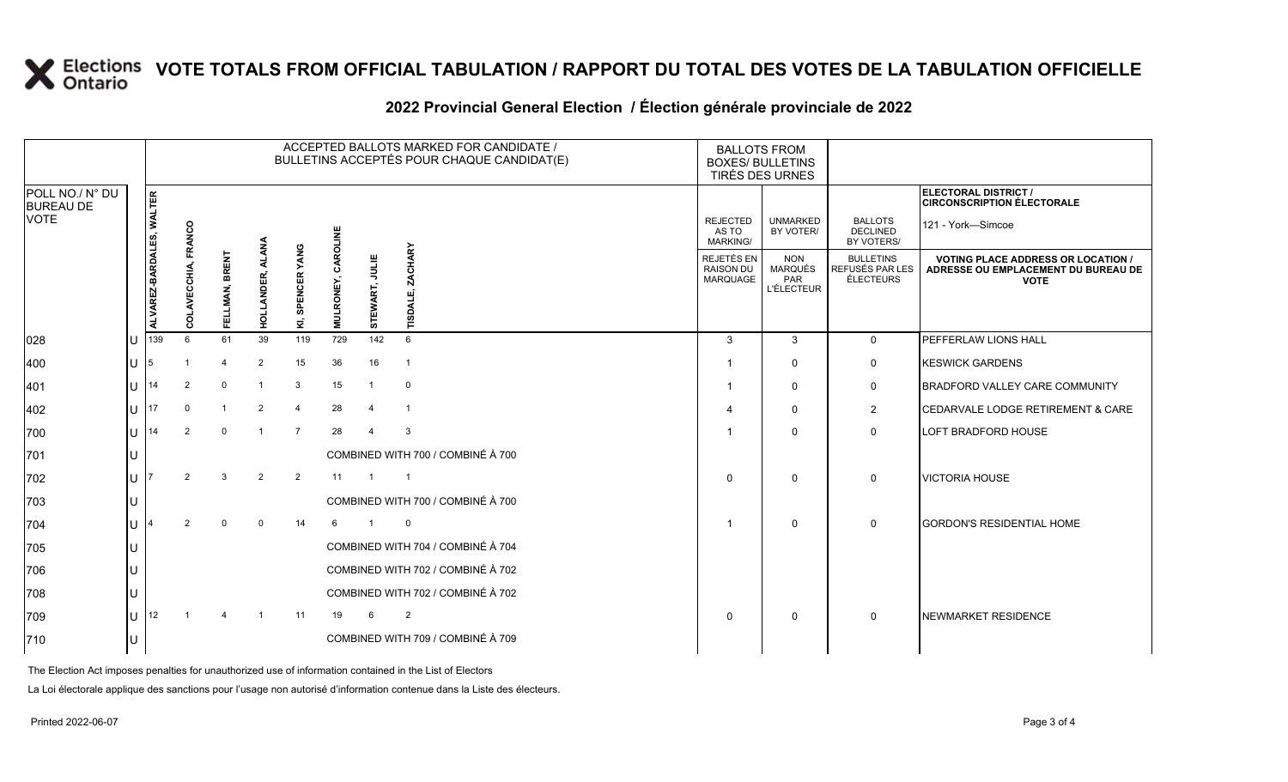# **X** Elections VOTE TOTALS FROM OFFICIAL TABULATION / RAPPORT DU TOTAL DES VOTES DE LA TABULATION OFFICIELLE

|                                     |         | ACCEPTED BALLOTS MARKED FOR CANDIDATE /<br>BULLETINS ACCEPTÉS POUR CHAQUE CANDIDAT(E) |                   |                            |                |                     |           |                         |                                   | <b>BALLOTS FROM</b><br><b>BOXES/ BULLETINS</b><br><b>TIRÉS DES URNES</b> |                                                   |                                                         |                                                                                                 |
|-------------------------------------|---------|---------------------------------------------------------------------------------------|-------------------|----------------------------|----------------|---------------------|-----------|-------------------------|-----------------------------------|--------------------------------------------------------------------------|---------------------------------------------------|---------------------------------------------------------|-------------------------------------------------------------------------------------------------|
| POLL NO./ N° DU<br><b>BUREAU DE</b> |         |                                                                                       |                   |                            |                |                     |           |                         |                                   |                                                                          |                                                   |                                                         | ELECTORAL DISTRICT /<br><b>CIRCONSCRIPTION ÉLECTORALE</b>                                       |
| <b>VOTE</b>                         |         |                                                                                       | <b>RANCO</b>      |                            |                |                     | CAROLINE  |                         |                                   | <b>REJECTED</b><br>AS TO<br><b>MARKING/</b>                              | <b>UNMARKED</b><br>BY VOTER/                      | <b>BALLOTS</b><br><b>DECLINED</b><br>BY VOTERS/         | 121 - York-Simcoe                                                                               |
|                                     |         | ALVAREZ-BARDALES, WALTER                                                              | 동<br>ũ.<br>ಕ<br>Ō | <b>BRENT</b><br>LMAN,<br>핎 | HOLLANDER,     | SPENCER YANG<br>ΣĴ, | MULRONEY, | STEWART, JULIE          | <b>ZACHARY</b><br><b>TVGSI</b>    | REJETÉS EN<br><b>RAISON DU</b><br><b>MARQUAGE</b>                        | <b>NON</b><br>MARQUÉS<br>PAR<br><b>L'ÉLECTEUR</b> | <b>BULLETINS</b><br>REFUSÉS PAR LES<br><b>ÉLECTEURS</b> | <b>VOTING PLACE ADDRESS OR LOCATION /</b><br>ADRESSE OU EMPLACEMENT DU BUREAU DE<br><b>VOTE</b> |
| 028                                 | U       | 139                                                                                   | 6                 | 61                         | 39             | 119                 | 729       | 142                     | $6\phantom{1}$                    | 3                                                                        | 3                                                 | $\Omega$                                                | PEFFERLAW LIONS HALL                                                                            |
| 400                                 | $U$ 5   |                                                                                       |                   | $\overline{4}$             | 2              | 15                  | 36        | 16                      | $\overline{1}$                    |                                                                          | $\Omega$                                          | $\mathbf 0$                                             | <b>KESWICK GARDENS</b>                                                                          |
| 401                                 | $11$ 14 |                                                                                       | $\overline{2}$    | $\mathbf 0$                | $\overline{1}$ | 3                   | 15        | $\overline{1}$          | $\mathbf 0$                       |                                                                          | $\Omega$                                          | 0                                                       | <b>BRADFORD VALLEY CARE COMMUNITY</b>                                                           |
| 402                                 |         | U $\vert$ 17                                                                          | $\Omega$          | $\mathbf{1}$               | $\overline{2}$ | $\overline{4}$      | 28        | $\overline{4}$          | $\overline{1}$                    | 4                                                                        | $\mathbf 0$                                       | $\overline{2}$                                          | CEDARVALE LODGE RETIREMENT & CARE                                                               |
| 700                                 |         | $U$ 14                                                                                | $\overline{2}$    | $\mathbf 0$                | $\overline{1}$ | $\overline{7}$      | 28        | $\overline{4}$          | 3                                 |                                                                          | $\mathbf 0$                                       | $\mathbf 0$                                             | LOFT BRADFORD HOUSE                                                                             |
| 701                                 |         |                                                                                       |                   |                            |                |                     |           |                         | COMBINED WITH 700 / COMBINÉ À 700 |                                                                          |                                                   |                                                         |                                                                                                 |
| 702                                 | $U$ 17  |                                                                                       | $\mathcal{P}$     | 3                          | 2              | 2                   | 11        | $\overline{1}$          | $\overline{1}$                    | $\Omega$                                                                 | $\mathbf 0$                                       | $\Omega$                                                | <b>VICTORIA HOUSE</b>                                                                           |
| 703                                 | U       |                                                                                       |                   |                            |                |                     |           |                         | COMBINED WITH 700 / COMBINÉ À 700 |                                                                          |                                                   |                                                         |                                                                                                 |
| 704                                 | IJ 14   |                                                                                       | 2                 | $\Omega$                   | $\mathbf 0$    | 14                  | 6         | $\overline{\mathbf{1}}$ | $\mathbf 0$                       | $\overline{1}$                                                           | $\mathbf 0$                                       | 0                                                       | <b>GORDON'S RESIDENTIAL HOME</b>                                                                |
| 705                                 | U       |                                                                                       |                   |                            |                |                     |           |                         | COMBINED WITH 704 / COMBINÉ À 704 |                                                                          |                                                   |                                                         |                                                                                                 |
| 706                                 | U       |                                                                                       |                   |                            |                |                     |           |                         | COMBINED WITH 702 / COMBINÉ À 702 |                                                                          |                                                   |                                                         |                                                                                                 |
| 708                                 | U       |                                                                                       |                   |                            |                |                     |           |                         | COMBINED WITH 702 / COMBINÉ À 702 |                                                                          |                                                   |                                                         |                                                                                                 |
| 709                                 |         | U $\vert$ 12                                                                          |                   |                            |                | 11                  | 19        | 6                       | 2                                 | $\Omega$                                                                 | $\mathbf 0$                                       | $\mathbf{0}$                                            | <b>NEWMARKET RESIDENCE</b>                                                                      |
| 710                                 |         |                                                                                       |                   |                            |                |                     |           |                         | COMBINED WITH 709 / COMBINÉ À 709 |                                                                          |                                                   |                                                         |                                                                                                 |
|                                     |         |                                                                                       |                   |                            |                |                     |           |                         |                                   |                                                                          |                                                   |                                                         |                                                                                                 |

### **2022 Provincial General Election / Élection générale provinciale de 2022**

The Election Act imposes penalties for unauthorized use of information contained in the List of Electors